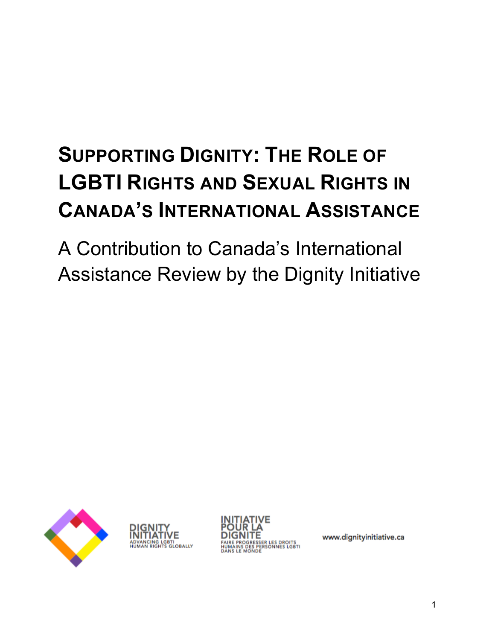# **SUPPORTING DIGNITY: THE ROLE OF LGBTI RIGHTS AND SEXUAL RIGHTS IN CANADA'S INTERNATIONAL ASSISTANCE**

A Contribution to Canada's International Assistance Review by the Dignity Initiative







www.dignityinitiative.ca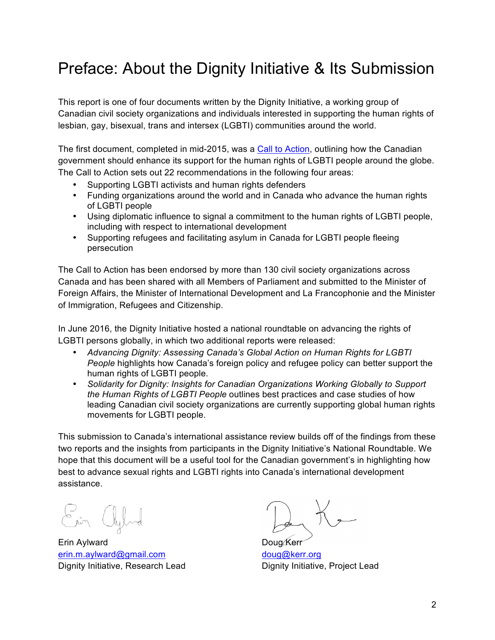## Preface: About the Dignity Initiative & Its Submission

This report is one of four documents written by the Dignity Initiative, a working group of Canadian civil society organizations and individuals interested in supporting the human rights of lesbian, gay, bisexual, trans and intersex (LGBTI) communities around the world.

The first document, completed in mid-2015, was a Call to Action, outlining how the Canadian government should enhance its support for the human rights of LGBTI people around the globe. The Call to Action sets out 22 recommendations in the following four areas:

- Supporting LGBTI activists and human rights defenders
- Funding organizations around the world and in Canada who advance the human rights of LGBTI people
- Using diplomatic influence to signal a commitment to the human rights of LGBTI people, including with respect to international development
- Supporting refugees and facilitating asylum in Canada for LGBTI people fleeing persecution

The Call to Action has been endorsed by more than 130 civil society organizations across Canada and has been shared with all Members of Parliament and submitted to the Minister of Foreign Affairs, the Minister of International Development and La Francophonie and the Minister of Immigration, Refugees and Citizenship.

In June 2016, the Dignity Initiative hosted a national roundtable on advancing the rights of LGBTI persons globally, in which two additional reports were released:

- *Advancing Dignity: Assessing Canada's Global Action on Human Rights for LGBTI People* highlights how Canada's foreign policy and refugee policy can better support the human rights of LGBTI people.
- *Solidarity for Dignity: Insights for Canadian Organizations Working Globally to Support the Human Rights of LGBTI People* outlines best practices and case studies of how leading Canadian civil society organizations are currently supporting global human rights movements for LGBTI people.

This submission to Canada's international assistance review builds off of the findings from these two reports and the insights from participants in the Dignity Initiative's National Roundtable. We hope that this document will be a useful tool for the Canadian government's in highlighting how best to advance sexual rights and LGBTI rights into Canada's international development assistance.

Erin Aylward **Doug Kerr** Doug Kerr erin.m.aylward@gmail.com doug@kerr.org Dignity Initiative, Research Lead Dignity Initiative, Project Lead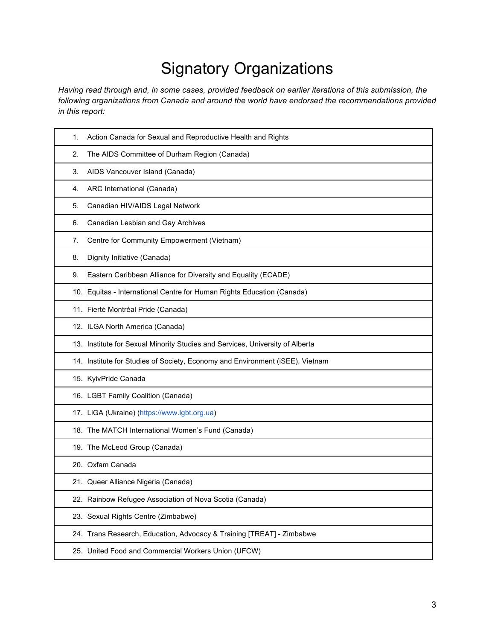## Signatory Organizations

*Having read through and, in some cases, provided feedback on earlier iterations of this submission, the following organizations from Canada and around the world have endorsed the recommendations provided in this report:* 

| 1. | Action Canada for Sexual and Reproductive Health and Rights                   |
|----|-------------------------------------------------------------------------------|
| 2. | The AIDS Committee of Durham Region (Canada)                                  |
| 3. | AIDS Vancouver Island (Canada)                                                |
| 4. | ARC International (Canada)                                                    |
| 5. | Canadian HIV/AIDS Legal Network                                               |
| 6. | Canadian Lesbian and Gay Archives                                             |
| 7. | Centre for Community Empowerment (Vietnam)                                    |
| 8. | Dignity Initiative (Canada)                                                   |
| 9. | Eastern Caribbean Alliance for Diversity and Equality (ECADE)                 |
|    | 10. Equitas - International Centre for Human Rights Education (Canada)        |
|    | 11. Fierté Montréal Pride (Canada)                                            |
|    | 12. ILGA North America (Canada)                                               |
|    | 13. Institute for Sexual Minority Studies and Services, University of Alberta |
|    | 14. Institute for Studies of Society, Economy and Environment (iSEE), Vietnam |
|    | 15. KyivPride Canada                                                          |
|    | 16. LGBT Family Coalition (Canada)                                            |
|    | 17. LiGA (Ukraine) (https://www.lgbt.org.ua)                                  |
|    | 18. The MATCH International Women's Fund (Canada)                             |
|    | 19. The McLeod Group (Canada)                                                 |
|    | 20. Oxfam Canada                                                              |
|    | 21. Queer Alliance Nigeria (Canada)                                           |
|    | 22. Rainbow Refugee Association of Nova Scotia (Canada)                       |
|    | 23. Sexual Rights Centre (Zimbabwe)                                           |
|    | 24. Trans Research, Education, Advocacy & Training [TREAT] - Zimbabwe         |
|    | 25. United Food and Commercial Workers Union (UFCW)                           |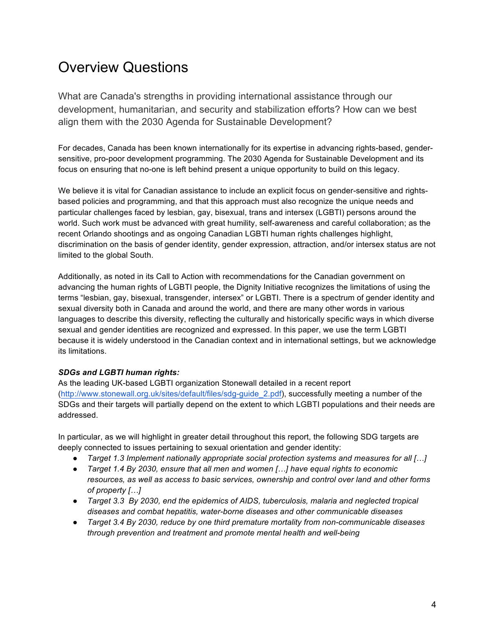### Overview Questions

What are Canada's strengths in providing international assistance through our development, humanitarian, and security and stabilization efforts? How can we best align them with the 2030 Agenda for Sustainable Development?

For decades, Canada has been known internationally for its expertise in advancing rights-based, gendersensitive, pro-poor development programming. The 2030 Agenda for Sustainable Development and its focus on ensuring that no-one is left behind present a unique opportunity to build on this legacy.

We believe it is vital for Canadian assistance to include an explicit focus on gender-sensitive and rightsbased policies and programming, and that this approach must also recognize the unique needs and particular challenges faced by lesbian, gay, bisexual, trans and intersex (LGBTI) persons around the world. Such work must be advanced with great humility, self-awareness and careful collaboration; as the recent Orlando shootings and as ongoing Canadian LGBTI human rights challenges highlight, discrimination on the basis of gender identity, gender expression, attraction, and/or intersex status are not limited to the global South.

Additionally, as noted in its Call to Action with recommendations for the Canadian government on advancing the human rights of LGBTI people, the Dignity Initiative recognizes the limitations of using the terms "lesbian, gay, bisexual, transgender, intersex" or LGBTI. There is a spectrum of gender identity and sexual diversity both in Canada and around the world, and there are many other words in various languages to describe this diversity, reflecting the culturally and historically specific ways in which diverse sexual and gender identities are recognized and expressed. In this paper, we use the term LGBTI because it is widely understood in the Canadian context and in international settings, but we acknowledge its limitations.

#### *SDGs and LGBTI human rights:*

As the leading UK-based LGBTI organization Stonewall detailed in a recent report (http://www.stonewall.org.uk/sites/default/files/sdg-guide\_2.pdf), successfully meeting a number of the SDGs and their targets will partially depend on the extent to which LGBTI populations and their needs are addressed.

In particular, as we will highlight in greater detail throughout this report, the following SDG targets are deeply connected to issues pertaining to sexual orientation and gender identity:

- *Target 1.3 Implement nationally appropriate social protection systems and measures for all […]*
- *Target 1.4 By 2030, ensure that all men and women […] have equal rights to economic resources, as well as access to basic services, ownership and control over land and other forms of property […]*
- *Target 3.3 By 2030, end the epidemics of AIDS, tuberculosis, malaria and neglected tropical diseases and combat hepatitis, water-borne diseases and other communicable diseases*
- *Target 3.4 By 2030, reduce by one third premature mortality from non-communicable diseases through prevention and treatment and promote mental health and well-being*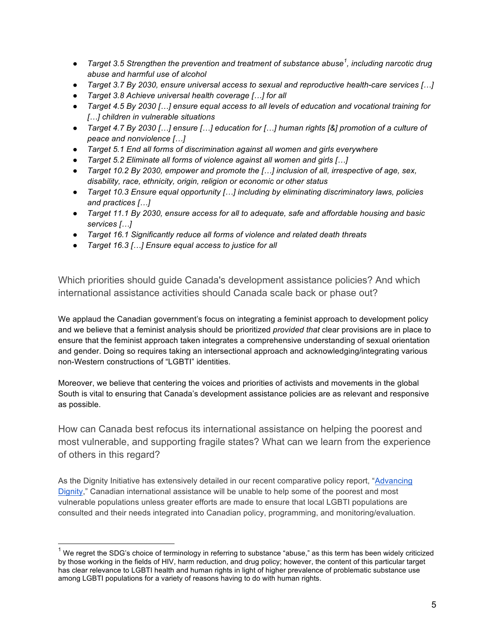- *Target 3.5 Strengthen the prevention and treatment of substance abuse<sup>1</sup> , including narcotic drug abuse and harmful use of alcohol*
- *Target 3.7 By 2030, ensure universal access to sexual and reproductive health-care services […]*
- *Target 3.8 Achieve universal health coverage […] for all*
- *Target 4.5 By 2030 […] ensure equal access to all levels of education and vocational training for […] children in vulnerable situations*
- *Target 4.7 By 2030 […] ensure […] education for […] human rights [&] promotion of a culture of peace and nonviolence […]*
- *Target 5.1 End all forms of discrimination against all women and girls everywhere*
- *Target 5.2 Eliminate all forms of violence against all women and girls […]*
- *Target 10.2 By 2030, empower and promote the […] inclusion of all, irrespective of age, sex, disability, race, ethnicity, origin, religion or economic or other status*
- *Target 10.3 Ensure equal opportunity […] including by eliminating discriminatory laws, policies and practices […]*
- *Target 11.1 By 2030, ensure access for all to adequate, safe and affordable housing and basic services […]*
- *Target 16.1 Significantly reduce all forms of violence and related death threats*
- *Target 16.3 […] Ensure equal access to justice for all*

Which priorities should guide Canada's development assistance policies? And which international assistance activities should Canada scale back or phase out?

We applaud the Canadian government's focus on integrating a feminist approach to development policy and we believe that a feminist analysis should be prioritized *provided that* clear provisions are in place to ensure that the feminist approach taken integrates a comprehensive understanding of sexual orientation and gender. Doing so requires taking an intersectional approach and acknowledging/integrating various non-Western constructions of "LGBTI" identities.

Moreover, we believe that centering the voices and priorities of activists and movements in the global South is vital to ensuring that Canada's development assistance policies are as relevant and responsive as possible.

How can Canada best refocus its international assistance on helping the poorest and most vulnerable, and supporting fragile states? What can we learn from the experience of others in this regard?

As the Dignity Initiative has extensively detailed in our recent comparative policy report, "Advancing Dignity," Canadian international assistance will be unable to help some of the poorest and most vulnerable populations unless greater efforts are made to ensure that local LGBTI populations are consulted and their needs integrated into Canadian policy, programming, and monitoring/evaluation.

 $1$  We regret the SDG's choice of terminology in referring to substance "abuse," as this term has been widely criticized by those working in the fields of HIV, harm reduction, and drug policy; however, the content of this particular target has clear relevance to LGBTI health and human rights in light of higher prevalence of problematic substance use among LGBTI populations for a variety of reasons having to do with human rights.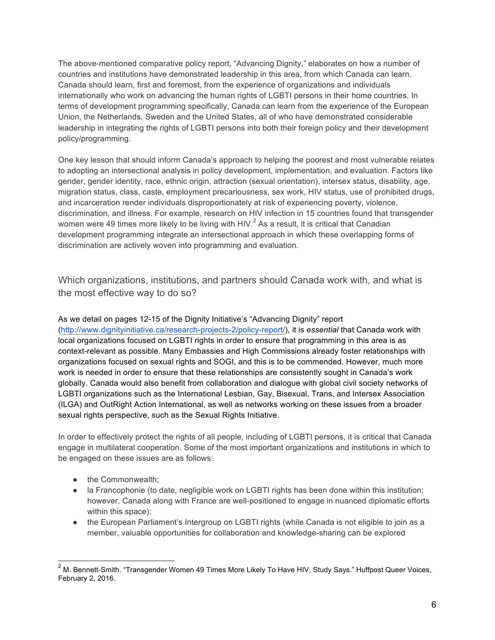The above-mentioned comparative policy report, "Advancing Dignity," elaborates on how a number of countries and institutions have demonstrated leadership in this area, from which Canada can learn. Canada should learn, first and foremost, from the experience of organizations and individuals internationally who work on advancing the human rights of LGBTI persons in their home countries. In terms of development programming specifically, Canada can learn from the experience of the European Union, the Netherlands, Sweden and the United States, all of who have demonstrated considerable leadership in integrating the rights of LGBTI persons into both their foreign policy and their development policy/programming.

One key lesson that should inform Canada's approach to helping the poorest and most vulnerable relates to adopting an intersectional analysis in policy development, implementation, and evaluation. Factors like gender, gender identity, race, ethnic origin, attraction (sexual orientation), intersex status, disability, age, migration status, class, caste, employment precariousness, sex work, HIV status, use of prohibited drugs, and incarceration render individuals disproportionately at risk of experiencing poverty, violence, discrimination, and illness. For example, research on HIV infection in 15 countries found that transgender women were 49 times more likely to be living with HIV.<sup>2</sup> As a result, it is critical that Canadian development programming integrate an intersectional approach in which these overlapping forms of discrimination are actively woven into programming and evaluation.

Which organizations, institutions, and partners should Canada work with, and what is the most effective way to do so?

#### As we detail on pages 12-15 of the Dignity Initiative's "Advancing Dignity" report

(http://www.dignityinitiative.ca/research-projects-2/policy-report/), it is *essential* that Canada work with local organizations focused on LGBTI rights in order to ensure that programming in this area is as context-relevant as possible. Many Embassies and High Commissions already foster relationships with organizations focused on sexual rights and SOGI, and this is to be commended. However, much more work is needed in order to ensure that these relationships are consistently sought in Canada's work globally. Canada would also benefit from collaboration and dialogue with global civil society networks of LGBTI organizations such as the International Lesbian, Gay, Bisexual, Trans, and Intersex Association (ILGA) and OutRight Action International, as well as networks working on these issues from a broader sexual rights perspective, such as the Sexual Rights Initiative.

In order to effectively protect the rights of all people, including of LGBTI persons, it is critical that Canada engage in multilateral cooperation. Some of the most important organizations and institutions in which to be engaged on these issues are as follows:

- the Commonwealth:
- la Francophonie (to date, negligible work on LGBTI rights has been done within this institution; however, Canada along with France are well-positioned to engage in nuanced diplomatic efforts within this space);
- the European Parliament's Intergroup on LGBTI rights (while Canada is not eligible to join as a member, valuable opportunities for collaboration and knowledge-sharing can be explored

<sup>&</sup>lt;sup>2</sup> M. Bennett-Smith. "Transgender Women 49 Times More Likely To Have HIV, Study Says." Huffpost Queer Voices, February 2, 2016.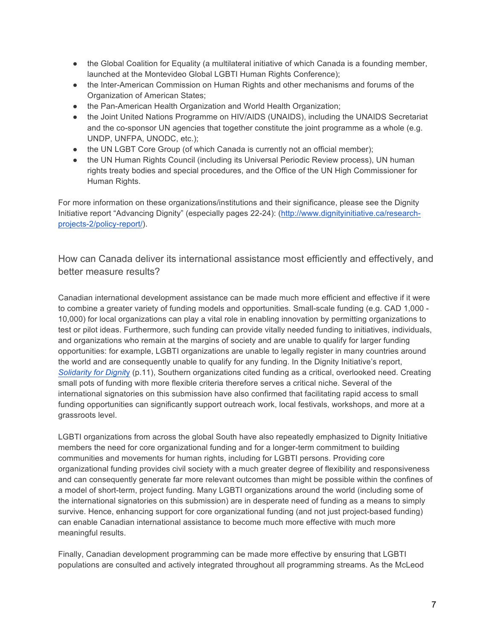- the Global Coalition for Equality (a multilateral initiative of which Canada is a founding member, launched at the Montevideo Global LGBTI Human Rights Conference);
- the Inter-American Commission on Human Rights and other mechanisms and forums of the Organization of American States;
- the Pan-American Health Organization and World Health Organization;
- the Joint United Nations Programme on HIV/AIDS (UNAIDS), including the UNAIDS Secretariat and the co-sponsor UN agencies that together constitute the joint programme as a whole (e.g. UNDP, UNFPA, UNODC, etc.);
- the UN LGBT Core Group (of which Canada is currently not an official member);
- the UN Human Rights Council (including its Universal Periodic Review process), UN human rights treaty bodies and special procedures, and the Office of the UN High Commissioner for Human Rights.

For more information on these organizations/institutions and their significance, please see the Dignity Initiative report "Advancing Dignity" (especially pages 22-24): (http://www.dignityinitiative.ca/researchprojects-2/policy-report/).

How can Canada deliver its international assistance most efficiently and effectively, and better measure results?

Canadian international development assistance can be made much more efficient and effective if it were to combine a greater variety of funding models and opportunities. Small-scale funding (e.g. CAD 1,000 - 10,000) for local organizations can play a vital role in enabling innovation by permitting organizations to test or pilot ideas. Furthermore, such funding can provide vitally needed funding to initiatives, individuals, and organizations who remain at the margins of society and are unable to qualify for larger funding opportunities: for example, LGBTI organizations are unable to legally register in many countries around the world and are consequently unable to qualify for any funding. In the Dignity Initiative's report, *Solidarity for Dignit*y (p.11), Southern organizations cited funding as a critical, overlooked need. Creating small pots of funding with more flexible criteria therefore serves a critical niche. Several of the international signatories on this submission have also confirmed that facilitating rapid access to small funding opportunities can significantly support outreach work, local festivals, workshops, and more at a grassroots level.

LGBTI organizations from across the global South have also repeatedly emphasized to Dignity Initiative members the need for core organizational funding and for a longer-term commitment to building communities and movements for human rights, including for LGBTI persons. Providing core organizational funding provides civil society with a much greater degree of flexibility and responsiveness and can consequently generate far more relevant outcomes than might be possible within the confines of a model of short-term, project funding. Many LGBTI organizations around the world (including some of the international signatories on this submission) are in desperate need of funding as a means to simply survive. Hence, enhancing support for core organizational funding (and not just project-based funding) can enable Canadian international assistance to become much more effective with much more meaningful results.

Finally, Canadian development programming can be made more effective by ensuring that LGBTI populations are consulted and actively integrated throughout all programming streams. As the McLeod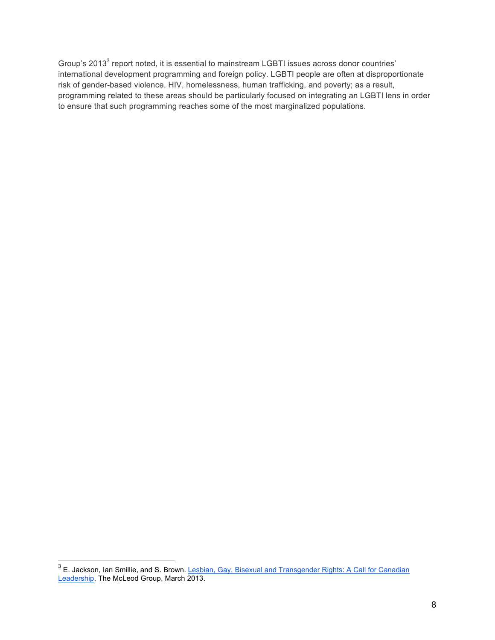Group's 2013<sup>3</sup> report noted, it is essential to mainstream LGBTI issues across donor countries' international development programming and foreign policy. LGBTI people are often at disproportionate risk of gender-based violence, HIV, homelessness, human trafficking, and poverty; as a result, programming related to these areas should be particularly focused on integrating an LGBTI lens in order to ensure that such programming reaches some of the most marginalized populations.

<sup>&</sup>lt;sup>3</sup> E. Jackson, Ian Smillie, and S. Brown. Lesbian, Gay, Bisexual and Transgender Rights: A Call for Canadian Leadership. The McLeod Group, March 2013.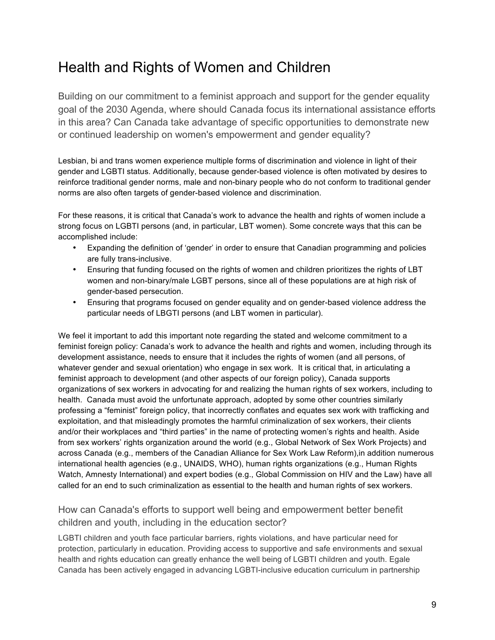### Health and Rights of Women and Children

Building on our commitment to a feminist approach and support for the gender equality goal of the 2030 Agenda, where should Canada focus its international assistance efforts in this area? Can Canada take advantage of specific opportunities to demonstrate new or continued leadership on women's empowerment and gender equality?

Lesbian, bi and trans women experience multiple forms of discrimination and violence in light of their gender and LGBTI status. Additionally, because gender-based violence is often motivated by desires to reinforce traditional gender norms, male and non-binary people who do not conform to traditional gender norms are also often targets of gender-based violence and discrimination.

For these reasons, it is critical that Canada's work to advance the health and rights of women include a strong focus on LGBTI persons (and, in particular, LBT women). Some concrete ways that this can be accomplished include:

- Expanding the definition of 'gender' in order to ensure that Canadian programming and policies are fully trans-inclusive.
- Ensuring that funding focused on the rights of women and children prioritizes the rights of LBT women and non-binary/male LGBT persons, since all of these populations are at high risk of gender-based persecution.
- Ensuring that programs focused on gender equality and on gender-based violence address the particular needs of LBGTI persons (and LBT women in particular).

We feel it important to add this important note regarding the stated and welcome commitment to a feminist foreign policy: Canada's work to advance the health and rights and women, including through its development assistance, needs to ensure that it includes the rights of women (and all persons, of whatever gender and sexual orientation) who engage in sex work. It is critical that, in articulating a feminist approach to development (and other aspects of our foreign policy), Canada supports organizations of sex workers in advocating for and realizing the human rights of sex workers, including to health. Canada must avoid the unfortunate approach, adopted by some other countries similarly professing a "feminist" foreign policy, that incorrectly conflates and equates sex work with trafficking and exploitation, and that misleadingly promotes the harmful criminalization of sex workers, their clients and/or their workplaces and "third parties" in the name of protecting women's rights and health. Aside from sex workers' rights organization around the world (e.g., Global Network of Sex Work Projects) and across Canada (e.g., members of the Canadian Alliance for Sex Work Law Reform),in addition numerous international health agencies (e.g., UNAIDS, WHO), human rights organizations (e.g., Human Rights Watch, Amnesty International) and expert bodies (e.g., Global Commission on HIV and the Law) have all called for an end to such criminalization as essential to the health and human rights of sex workers.

#### How can Canada's efforts to support well being and empowerment better benefit children and youth, including in the education sector?

LGBTI children and youth face particular barriers, rights violations, and have particular need for protection, particularly in education. Providing access to supportive and safe environments and sexual health and rights education can greatly enhance the well being of LGBTI children and youth. Egale Canada has been actively engaged in advancing LGBTI-inclusive education curriculum in partnership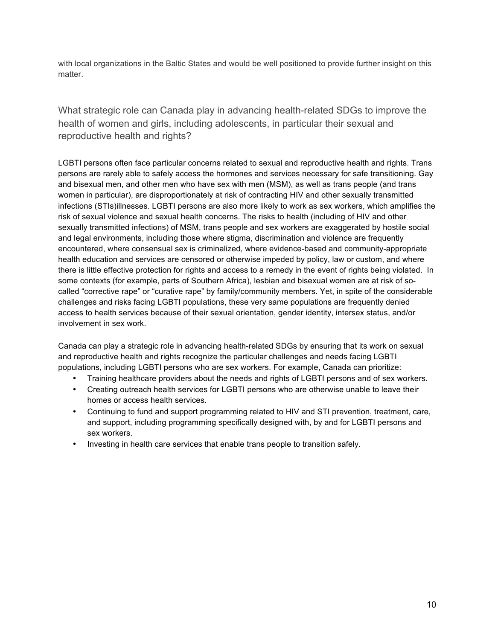with local organizations in the Baltic States and would be well positioned to provide further insight on this matter.

What strategic role can Canada play in advancing health-related SDGs to improve the health of women and girls, including adolescents, in particular their sexual and reproductive health and rights?

LGBTI persons often face particular concerns related to sexual and reproductive health and rights. Trans persons are rarely able to safely access the hormones and services necessary for safe transitioning. Gay and bisexual men, and other men who have sex with men (MSM), as well as trans people (and trans women in particular), are disproportionately at risk of contracting HIV and other sexually transmitted infections (STIs)illnesses. LGBTI persons are also more likely to work as sex workers, which amplifies the risk of sexual violence and sexual health concerns. The risks to health (including of HIV and other sexually transmitted infections) of MSM, trans people and sex workers are exaggerated by hostile social and legal environments, including those where stigma, discrimination and violence are frequently encountered, where consensual sex is criminalized, where evidence-based and community-appropriate health education and services are censored or otherwise impeded by policy, law or custom, and where there is little effective protection for rights and access to a remedy in the event of rights being violated. In some contexts (for example, parts of Southern Africa), lesbian and bisexual women are at risk of socalled "corrective rape" or "curative rape" by family/community members. Yet, in spite of the considerable challenges and risks facing LGBTI populations, these very same populations are frequently denied access to health services because of their sexual orientation, gender identity, intersex status, and/or involvement in sex work.

Canada can play a strategic role in advancing health-related SDGs by ensuring that its work on sexual and reproductive health and rights recognize the particular challenges and needs facing LGBTI populations, including LGBTI persons who are sex workers. For example, Canada can prioritize:

- Training healthcare providers about the needs and rights of LGBTI persons and of sex workers.
- Creating outreach health services for LGBTI persons who are otherwise unable to leave their homes or access health services.
- Continuing to fund and support programming related to HIV and STI prevention, treatment, care, and support, including programming specifically designed with, by and for LGBTI persons and sex workers.
- Investing in health care services that enable trans people to transition safely.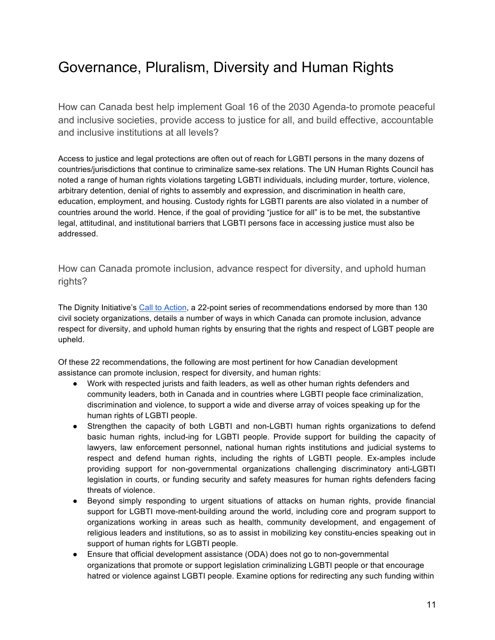## Governance, Pluralism, Diversity and Human Rights

How can Canada best help implement Goal 16 of the 2030 Agenda-to promote peaceful and inclusive societies, provide access to justice for all, and build effective, accountable and inclusive institutions at all levels?

Access to justice and legal protections are often out of reach for LGBTI persons in the many dozens of countries/jurisdictions that continue to criminalize same-sex relations. The UN Human Rights Council has noted a range of human rights violations targeting LGBTI individuals, including murder, torture, violence, arbitrary detention, denial of rights to assembly and expression, and discrimination in health care, education, employment, and housing. Custody rights for LGBTI parents are also violated in a number of countries around the world. Hence, if the goal of providing "justice for all" is to be met, the substantive legal, attitudinal, and institutional barriers that LGBTI persons face in accessing justice must also be addressed.

How can Canada promote inclusion, advance respect for diversity, and uphold human rights?

The Dignity Initiative's Call to Action, a 22-point series of recommendations endorsed by more than 130 civil society organizations, details a number of ways in which Canada can promote inclusion, advance respect for diversity, and uphold human rights by ensuring that the rights and respect of LGBT people are upheld.

Of these 22 recommendations, the following are most pertinent for how Canadian development assistance can promote inclusion, respect for diversity, and human rights:

- Work with respected jurists and faith leaders, as well as other human rights defenders and community leaders, both in Canada and in countries where LGBTI people face criminalization, discrimination and violence, to support a wide and diverse array of voices speaking up for the human rights of LGBTI people.
- Strengthen the capacity of both LGBTI and non-LGBTI human rights organizations to defend basic human rights, includ-ing for LGBTI people. Provide support for building the capacity of lawyers, law enforcement personnel, national human rights institutions and judicial systems to respect and defend human rights, including the rights of LGBTI people. Ex-amples include providing support for non-governmental organizations challenging discriminatory anti-LGBTI legislation in courts, or funding security and safety measures for human rights defenders facing threats of violence.
- Beyond simply responding to urgent situations of attacks on human rights, provide financial support for LGBTI move-ment-building around the world, including core and program support to organizations working in areas such as health, community development, and engagement of religious leaders and institutions, so as to assist in mobilizing key constitu-encies speaking out in support of human rights for LGBTI people.
- Ensure that official development assistance (ODA) does not go to non-governmental organizations that promote or support legislation criminalizing LGBTI people or that encourage hatred or violence against LGBTI people. Examine options for redirecting any such funding within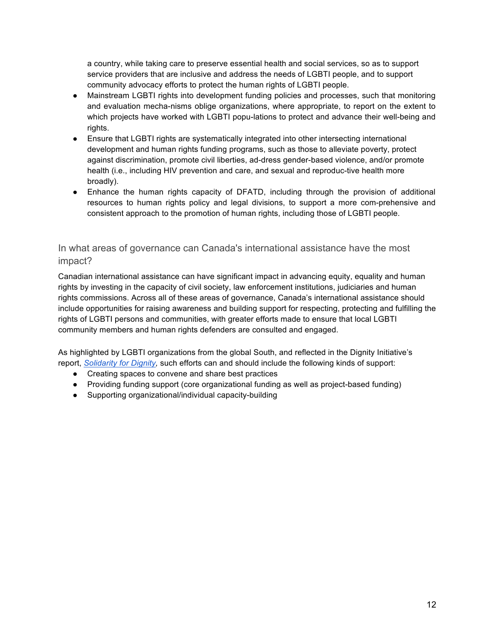a country, while taking care to preserve essential health and social services, so as to support service providers that are inclusive and address the needs of LGBTI people, and to support community advocacy efforts to protect the human rights of LGBTI people.

- Mainstream LGBTI rights into development funding policies and processes, such that monitoring and evaluation mecha-nisms oblige organizations, where appropriate, to report on the extent to which projects have worked with LGBTI popu-lations to protect and advance their well-being and rights.
- Ensure that LGBTI rights are systematically integrated into other intersecting international development and human rights funding programs, such as those to alleviate poverty, protect against discrimination, promote civil liberties, ad-dress gender-based violence, and/or promote health (i.e., including HIV prevention and care, and sexual and reproduc-tive health more broadly).
- Enhance the human rights capacity of DFATD, including through the provision of additional resources to human rights policy and legal divisions, to support a more com-prehensive and consistent approach to the promotion of human rights, including those of LGBTI people.

#### In what areas of governance can Canada's international assistance have the most impact?

Canadian international assistance can have significant impact in advancing equity, equality and human rights by investing in the capacity of civil society, law enforcement institutions, judiciaries and human rights commissions. Across all of these areas of governance, Canada's international assistance should include opportunities for raising awareness and building support for respecting, protecting and fulfilling the rights of LGBTI persons and communities, with greater efforts made to ensure that local LGBTI community members and human rights defenders are consulted and engaged.

As highlighted by LGBTI organizations from the global South, and reflected in the Dignity Initiative's report, *Solidarity for Dignity,* such efforts can and should include the following kinds of support:

- Creating spaces to convene and share best practices
- Providing funding support (core organizational funding as well as project-based funding)
- Supporting organizational/individual capacity-building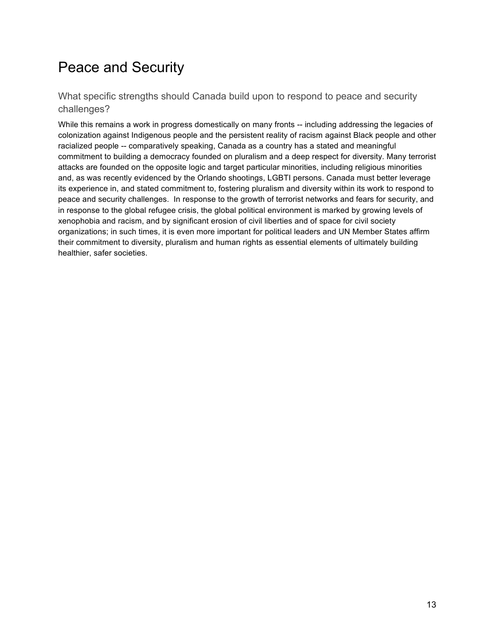## Peace and Security

What specific strengths should Canada build upon to respond to peace and security challenges?

While this remains a work in progress domestically on many fronts -- including addressing the legacies of colonization against Indigenous people and the persistent reality of racism against Black people and other racialized people -- comparatively speaking, Canada as a country has a stated and meaningful commitment to building a democracy founded on pluralism and a deep respect for diversity. Many terrorist attacks are founded on the opposite logic and target particular minorities, including religious minorities and, as was recently evidenced by the Orlando shootings, LGBTI persons. Canada must better leverage its experience in, and stated commitment to, fostering pluralism and diversity within its work to respond to peace and security challenges. In response to the growth of terrorist networks and fears for security, and in response to the global refugee crisis, the global political environment is marked by growing levels of xenophobia and racism, and by significant erosion of civil liberties and of space for civil society organizations; in such times, it is even more important for political leaders and UN Member States affirm their commitment to diversity, pluralism and human rights as essential elements of ultimately building healthier, safer societies.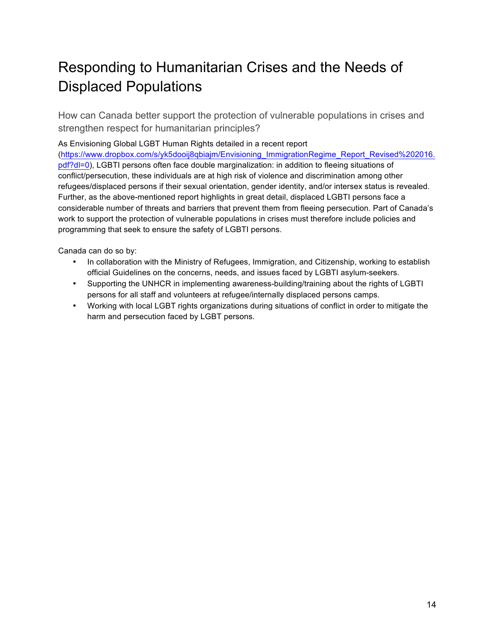## Responding to Humanitarian Crises and the Needs of Displaced Populations

How can Canada better support the protection of vulnerable populations in crises and strengthen respect for humanitarian principles?

#### As Envisioning Global LGBT Human Rights detailed in a recent report

(https://www.dropbox.com/s/yk5dooij8qbiajm/Envisioning\_ImmigrationRegime\_Report\_Revised%202016. pdf?dl=0), LGBTI persons often face double marginalization: in addition to fleeing situations of conflict/persecution, these individuals are at high risk of violence and discrimination among other refugees/displaced persons if their sexual orientation, gender identity, and/or intersex status is revealed. Further, as the above-mentioned report highlights in great detail, displaced LGBTI persons face a considerable number of threats and barriers that prevent them from fleeing persecution. Part of Canada's work to support the protection of vulnerable populations in crises must therefore include policies and programming that seek to ensure the safety of LGBTI persons.

Canada can do so by:

- In collaboration with the Ministry of Refugees, Immigration, and Citizenship, working to establish official Guidelines on the concerns, needs, and issues faced by LGBTI asylum-seekers.
- Supporting the UNHCR in implementing awareness-building/training about the rights of LGBTI persons for all staff and volunteers at refugee/internally displaced persons camps.
- Working with local LGBT rights organizations during situations of conflict in order to mitigate the harm and persecution faced by LGBT persons.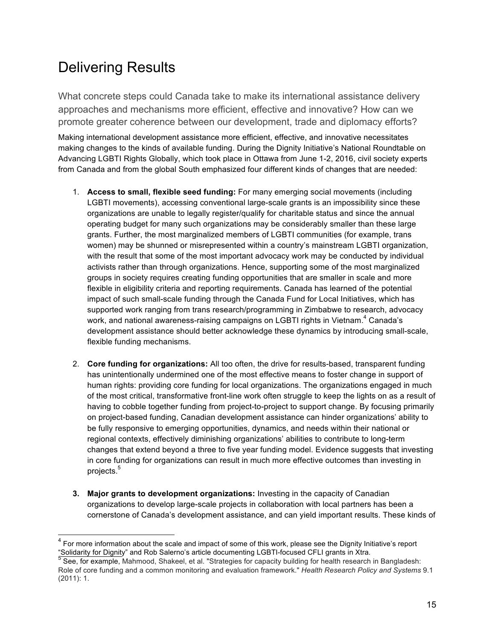## Delivering Results

What concrete steps could Canada take to make its international assistance delivery approaches and mechanisms more efficient, effective and innovative? How can we promote greater coherence between our development, trade and diplomacy efforts?

Making international development assistance more efficient, effective, and innovative necessitates making changes to the kinds of available funding. During the Dignity Initiative's National Roundtable on Advancing LGBTI Rights Globally, which took place in Ottawa from June 1-2, 2016, civil society experts from Canada and from the global South emphasized four different kinds of changes that are needed:

- 1. **Access to small, flexible seed funding:** For many emerging social movements (including LGBTI movements), accessing conventional large-scale grants is an impossibility since these organizations are unable to legally register/qualify for charitable status and since the annual operating budget for many such organizations may be considerably smaller than these large grants. Further, the most marginalized members of LGBTI communities (for example, trans women) may be shunned or misrepresented within a country's mainstream LGBTI organization, with the result that some of the most important advocacy work may be conducted by individual activists rather than through organizations. Hence, supporting some of the most marginalized groups in society requires creating funding opportunities that are smaller in scale and more flexible in eligibility criteria and reporting requirements. Canada has learned of the potential impact of such small-scale funding through the Canada Fund for Local Initiatives, which has supported work ranging from trans research/programming in Zimbabwe to research, advocacy work, and national awareness-raising campaigns on LGBTI rights in Vietnam. $4$  Canada's development assistance should better acknowledge these dynamics by introducing small-scale, flexible funding mechanisms.
- 2. **Core funding for organizations:** All too often, the drive for results-based, transparent funding has unintentionally undermined one of the most effective means to foster change in support of human rights: providing core funding for local organizations. The organizations engaged in much of the most critical, transformative front-line work often struggle to keep the lights on as a result of having to cobble together funding from project-to-project to support change. By focusing primarily on project-based funding, Canadian development assistance can hinder organizations' ability to be fully responsive to emerging opportunities, dynamics, and needs within their national or regional contexts, effectively diminishing organizations' abilities to contribute to long-term changes that extend beyond a three to five year funding model. Evidence suggests that investing in core funding for organizations can result in much more effective outcomes than investing in projects.<sup>5</sup>
- **3. Major grants to development organizations:** Investing in the capacity of Canadian organizations to develop large-scale projects in collaboration with local partners has been a cornerstone of Canada's development assistance, and can yield important results. These kinds of

 $4$  For more information about the scale and impact of some of this work, please see the Dignity Initiative's report "Solidarity for Dignity" and Rob Salerno's article documenting LGBTI-focused CFLI grants in Xtra.<br>5 See, for example, Mahmood, Shakeel, et al. "Strategies for capacity building for health research in Bangladesh:

Role of core funding and a common monitoring and evaluation framework." *Health Research Policy and Systems* 9.1 (2011): 1.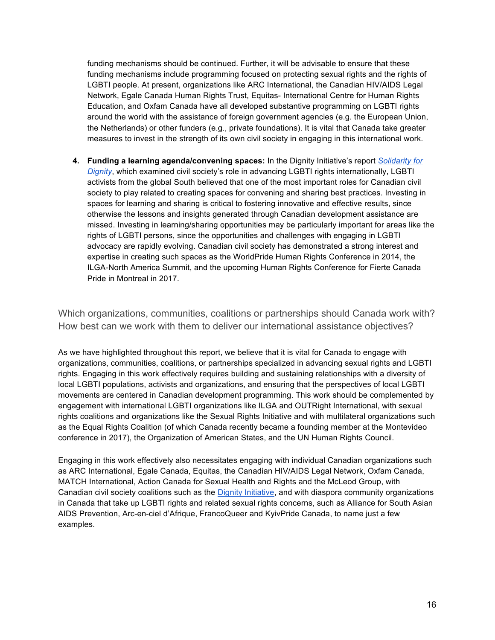funding mechanisms should be continued. Further, it will be advisable to ensure that these funding mechanisms include programming focused on protecting sexual rights and the rights of LGBTI people. At present, organizations like ARC International, the Canadian HIV/AIDS Legal Network, Egale Canada Human Rights Trust, Equitas- International Centre for Human Rights Education, and Oxfam Canada have all developed substantive programming on LGBTI rights around the world with the assistance of foreign government agencies (e.g. the European Union, the Netherlands) or other funders (e.g., private foundations). It is vital that Canada take greater measures to invest in the strength of its own civil society in engaging in this international work.

**4. Funding a learning agenda/convening spaces:** In the Dignity Initiative's report *Solidarity for Dignity*, which examined civil society's role in advancing LGBTI rights internationally, LGBTI activists from the global South believed that one of the most important roles for Canadian civil society to play related to creating spaces for convening and sharing best practices. Investing in spaces for learning and sharing is critical to fostering innovative and effective results, since otherwise the lessons and insights generated through Canadian development assistance are missed. Investing in learning/sharing opportunities may be particularly important for areas like the rights of LGBTI persons, since the opportunities and challenges with engaging in LGBTI advocacy are rapidly evolving. Canadian civil society has demonstrated a strong interest and expertise in creating such spaces as the WorldPride Human Rights Conference in 2014, the ILGA-North America Summit, and the upcoming Human Rights Conference for Fierte Canada Pride in Montreal in 2017.

Which organizations, communities, coalitions or partnerships should Canada work with? How best can we work with them to deliver our international assistance objectives?

As we have highlighted throughout this report, we believe that it is vital for Canada to engage with organizations, communities, coalitions, or partnerships specialized in advancing sexual rights and LGBTI rights. Engaging in this work effectively requires building and sustaining relationships with a diversity of local LGBTI populations, activists and organizations, and ensuring that the perspectives of local LGBTI movements are centered in Canadian development programming. This work should be complemented by engagement with international LGBTI organizations like ILGA and OUTRight International, with sexual rights coalitions and organizations like the Sexual Rights Initiative and with multilateral organizations such as the Equal Rights Coalition (of which Canada recently became a founding member at the Montevideo conference in 2017), the Organization of American States, and the UN Human Rights Council.

Engaging in this work effectively also necessitates engaging with individual Canadian organizations such as ARC International, Egale Canada, Equitas, the Canadian HIV/AIDS Legal Network, Oxfam Canada, MATCH International, Action Canada for Sexual Health and Rights and the McLeod Group, with Canadian civil society coalitions such as the Dignity Initiative, and with diaspora community organizations in Canada that take up LGBTI rights and related sexual rights concerns, such as Alliance for South Asian AIDS Prevention, Arc-en-ciel d'Afrique, FrancoQueer and KyivPride Canada, to name just a few examples.